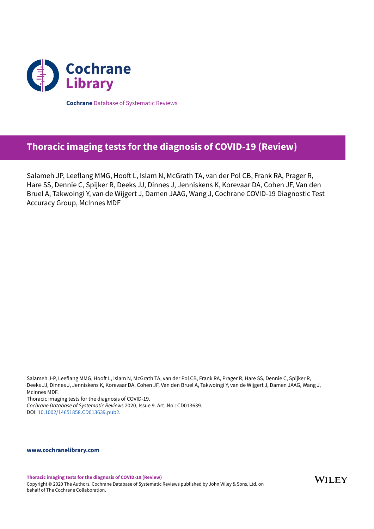

**Cochrane** Database of Systematic Reviews

## **Thoracic imaging tests for the diagnosis of COVID-19 (Review)**

Salameh JP, Leeflang MMG, Hooft L, Islam N, McGrath TA, van der Pol CB, Frank RA, Prager R, Hare SS, Dennie C, Spijker R, Deeks JJ, Dinnes J, Jenniskens K, Korevaar DA, Cohen JF, Van den Bruel A, Takwoingi Y, van de Wijgert J, Damen JAAG, Wang J, Cochrane COVID-19 Diagnostic Test Accuracy Group, McInnes MDF

Salameh J-P, Leeflang MMG, Hooft L, Islam N, McGrath TA, van der Pol CB, Frank RA, Prager R, Hare SS, Dennie C, Spijker R, Deeks JJ, Dinnes J, Jenniskens K, Korevaar DA, Cohen JF, Van den Bruel A, Takwoingi Y, van de Wijgert J, Damen JAAG, Wang J, McInnes MDF.

Thoracic imaging tests for the diagnosis of COVID-19.

*Cochrane Database of Systematic Reviews* 2020, Issue 9. Art. No.: CD013639. DOI: 10.1002/14651858.CD013639.pub2.

## **www.cochranelibrary.com**

**Thoracic imaging tests for the diagnosis of COVID-19 (Review)** Copyright © 2020 The Authors. Cochrane Database of Systematic Reviews published by John Wiley & Sons, Ltd. on behalf of The Cochrane Collaboration.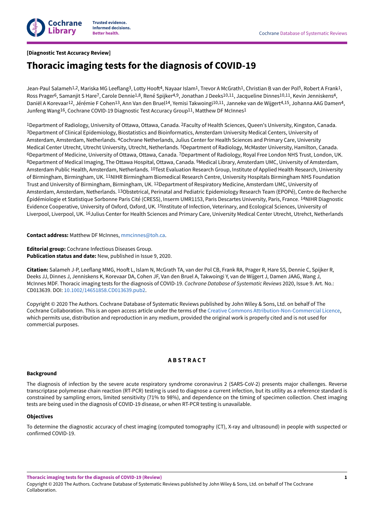

## **[Diagnostic Test Accuracy Review]**

# **Thoracic imaging tests for the diagnosis of COVID-19**

Jean-Paul Salameh $^{1,2}$ , Mariska MG Leeflang $^3$ , Lotty Hooft $^4$ , Nayaar Islam $^1$ , Trevor A McGrath $^1$ , Christian B van der Pol $^5$ , Robert A Frank $^1$ , Ross Prager<sup>6</sup>, Samanjit S Hare<sup>7</sup>, Carole Dennie<sup>1,8</sup>, René Spijker<sup>4,9</sup>, Jonathan J Deeks<sup>10,11</sup>, Jacqueline Dinnes<sup>10,11</sup>, Kevin Jenniskens<sup>4</sup>, Daniël A Korevaar<sup>12</sup>, Jérémie F Cohen<sup>13</sup>, Ann Van den Bruel<sup>14</sup>, Yemisi Takwoingi<sup>10,11</sup>, Janneke van de Wijgert<sup>4,15</sup>, Johanna AAG Damen<sup>4</sup>, Junfeng Wang<sup>16</sup>, Cochrane COVID-19 Diagnostic Test Accuracy Group<sup>11</sup>, Matthew DF McInnes<sup>1</sup>

<sup>1</sup>Department of Radiology, University of Ottawa, Ottawa, Canada. <sup>2</sup>Faculty of Health Sciences, Queen's University, Kingston, Canada. 3Department of Clinical Epidemiology, Biostatistics and Bioinformatics, Amsterdam University Medical Centers, University of Amsterdam, Amsterdam, Netherlands. <sup>4</sup>Cochrane Netherlands, Julius Center for Health Sciences and Primary Care, University Medical Center Utrecht, Utrecht University, Utrecht, Netherlands. <sup>5</sup>Department of Radiology, McMaster University, Hamilton, Canada. <sup>6</sup>Department of Medicine, University of Ottawa, Ottawa, Canada. <sup>7</sup>Department of Radiology, Royal Free London NHS Trust, London, UK. <sup>8</sup>Department of Medical Imaging, The Ottawa Hospital, Ottawa, Canada. <sup>9</sup>Medical Library, Amsterdam UMC, University of Amsterdam, Amsterdam Public Health, Amsterdam, Netherlands. <sup>10</sup>Test Evaluation Research Group, Institute of Applied Health Research, University of Birmingham, Birmingham, UK. 11NIHR Birmingham Biomedical Research Centre, University Hospitals Birmingham NHS Foundation Trust and University of Birmingham, Birmingham, UK. <sup>12</sup>Department of Respiratory Medicine, Amsterdam UMC, University of Amsterdam, Amsterdam, Netherlands. <sup>13</sup>Obstetrical, Perinatal and Pediatric Epidemiology Research Team (EPOPé), Centre de Recherche Épidémiologie et Statistique Sorbonne Paris Cité (CRESS), Inserm UMR1153, Paris Descartes University, Paris, France. <sup>14</sup>NIHR Diagnostic Evidence Cooperative, University of Oxford, Oxford, UK. <sup>15</sup>Institute of Infection, Veterinary, and Ecological Sciences, University of Liverpool, Liverpool, UK. <sup>16</sup>Julius Center for Health Sciences and Primary Care, University Medical Center Utrecht, Utrehct, Netherlands

**Contact address:** Matthew DF McInnes, mmcinnes@toh.ca.

**Editorial group:** Cochrane Infectious Diseases Group. **Publication status and date:** New, published in Issue 9, 2020.

Citation: Salameh J-P, Leeflang MMG, Hooft L, Islam N, McGrath TA, van der Pol CB, Frank RA, Prager R, Hare SS, Dennie C, Spijker R, Deeks JJ, Dinnes J, Jenniskens K, Korevaar DA, Cohen JF, Van den Bruel A, Takwoingi Y, van de Wijgert J, Damen JAAG, Wang J, McInnes MDF. Thoracic imaging tests for the diagnosis of COVID-19. *Cochrane Database of Systematic Reviews* 2020, Issue 9. Art. No.: CD013639. DOI: 10.1002/14651858.CD013639.pub2.

Copyright © 2020 The Authors. Cochrane Database of Systematic Reviews published by John Wiley & Sons, Ltd. on behalf of The Cochrane Collaboration. This is an open access article under the terms of the Creative Commons Attribution-Non-Commercial Licence, which permits use, distribution and reproduction in any medium, provided the original work is properly cited and is not used for commercial purposes.

## **A B S T R A C T**

## **Background**

The diagnosis of infection by the severe acute respiratory syndrome coronavirus 2 (SARS-CoV-2) presents major challenges. Reverse transcriptase polymerase chain reaction (RT-PCR) testing is used to diagnose a current infection, but its utility as a reference standard is constrained by sampling errors, limited sensitivity (71% to 98%), and dependence on the timing of specimen collection. Chest imaging tests are being used in the diagnosis of COVID-19 disease, or when RT-PCR testing is unavailable.

### **Objectives**

To determine the diagnostic accuracy of chest imaging (computed tomography (CT), X-ray and ultrasound) in people with suspected or confirmed COVID-19.

**Thoracic imaging tests for the diagnosis of COVID-19 (Review)**

Copyright © 2020 The Authors. Cochrane Database of Systematic Reviews published by John Wiley & Sons, Ltd. on behalf of The Cochrane Collaboration.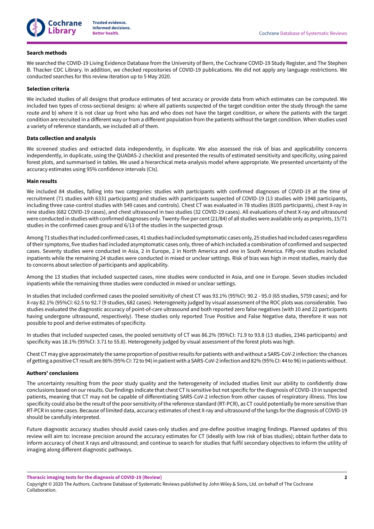

## **Search methods**

We searched the COVID-19 Living Evidence Database from the University of Bern, the Cochrane COVID-19 Study Register, and The Stephen B. Thacker CDC Library. In addition, we checked repositories of COVID-19 publications. We did not apply any language restrictions. We conducted searches for this review iteration up to 5 May 2020.

## **Selection criteria**

We included studies of all designs that produce estimates of test accuracy or provide data from which estimates can be computed. We included two types of cross-sectional designs: a) where all patients suspected of the target condition enter the study through the same route and b) where it is not clear up front who has and who does not have the target condition, or where the patients with the target condition are recruited in a different way or from a different population from the patients without the target condition. When studies used a variety of reference standards, we included all of them.

## **Data collection and analysis**

We screened studies and extracted data independently, in duplicate. We also assessed the risk of bias and applicability concerns independently, in duplicate, using the QUADAS-2 checklist and presented the results of estimated sensitivity and specificity, using paired forest plots, and summarised in tables. We used a hierarchical meta-analysis model where appropriate. We presented uncertainty of the accuracy estimates using 95% confidence intervals (CIs).

## **Main results**

We included 84 studies, falling into two categories: studies with participants with confirmed diagnoses of COVID-19 at the time of recruitment (71 studies with 6331 participants) and studies with participants suspected of COVID-19 (13 studies with 1948 participants, including three case-control studies with 549 cases and controls). Chest CT was evaluated in 78 studies (8105 participants), chest X-ray in nine studies (682 COVID-19 cases), and chest ultrasound in two studies (32 COVID-19 cases). All evaluations of chest X-ray and ultrasound were conducted in studies with confirmed diagnoses only. Twenty-five per cent(21/84) of all studies were available only as preprints, 15/71 studies in the confirmed cases group and 6/13 of the studies in the suspected group.

Among 71 studies thatincluded confirmed cases, 41 studies had included symptomatic cases only, 25 studies had included cases regardless oftheir symptoms, five studies had included asymptomatic cases only,three of which included a combination of confirmed and suspected cases. Seventy studies were conducted in Asia, 2 in Europe, 2 in North America and one in South America. Fiy-one studies included inpatients while the remaining 24 studies were conducted in mixed or unclear settings. Risk of bias was high in most studies, mainly due to concerns about selection of participants and applicability.

Among the 13 studies that included suspected cases, nine studies were conducted in Asia, and one in Europe. Seven studies included inpatients while the remaining three studies were conducted in mixed or unclear settings.

In studies that included confirmed cases the pooled sensitivity of chest CT was 93.1% (95%CI: 90.2 - 95.0 (65 studies, 5759 cases); and for X-ray 82.1% (95%CI: 62.5 to 92.7 (9 studies, 682 cases). Heterogeneity judged by visual assessment of the ROC plots was considerable. Two studies evaluated the diagnostic accuracy of point-of-care ultrasound and both reported zero false negatives (with 10 and 22 participants having undergone ultrasound, respectively). These studies only reported True Positive and False Negative data, therefore it was not possible to pool and derive estimates of specificity.

In studies that included suspected cases, the pooled sensitivity of CT was 86.2% (95%CI: 71.9 to 93.8 (13 studies, 2346 participants) and specificity was 18.1% (95%CI: 3.71 to 55.8). Heterogeneity judged by visual assessment of the forest plots was high.

Chest CT may give approximately the same proportion of positive results for patients with and without a SARS-CoV-2 infection:the chances of getting a positive CT result are 86% (95% CI: 72 to 94) in patient with a SARS-CoV-2 infection and 82% (95% CI: 44 to 96) in patients without.

### **Authors' conclusions**

The uncertainty resulting from the poor study quality and the heterogeneity of included studies limit our ability to confidently draw conclusions based on ourresults. Ourfindings indicate that chest CT is sensitive but not specific forthe diagnosis of COVID-19 in suspected patients, meaning that CT may not be capable of differentiating SARS-CoV-2 infection from other causes of respiratory illness. This low specificity could also be the result of the poor sensitivity of the reference standard (RT-PCR), as CT could potentially be more sensitive than RT-PCR in some cases. Because of limited data, accuracy estimates of chest X-ray and ultrasound of the lungs for the diagnosis of COVID-19 should be carefully interpreted.

Future diagnostic accuracy studies should avoid cases-only studies and pre-define positive imaging findings. Planned updates of this review will aim to: increase precision around the accuracy estimates for CT (ideally with low risk of bias studies); obtain further data to inform accuracy of chest X rays and ultrasound; and continue to search for studies that fulfil secondary objectives to inform the utility of imaging along different diagnostic pathways.

**Thoracic imaging tests for the diagnosis of COVID-19 (Review)**

Copyright © 2020 The Authors. Cochrane Database of Systematic Reviews published by John Wiley & Sons, Ltd. on behalf of The Cochrane Collaboration.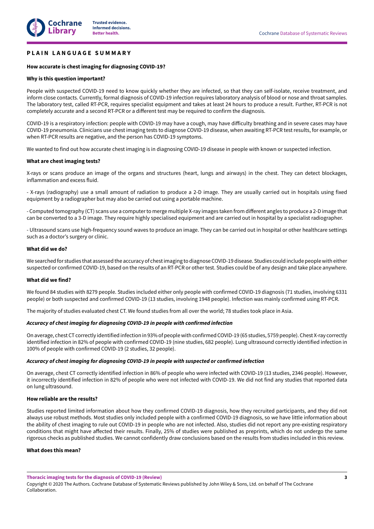## **P L A I N L A N G U A G E S U M M A R Y**

## **How accurate is chest imaging for diagnosing COVID-19?**

## **Why is this question important?**

People with suspected COVID-19 need to know quickly whether they are infected, so that they can self-isolate, receive treatment, and inform close contacts. Currently, formal diagnosis of COVID-19 infection requires laboratory analysis of blood or nose and throat samples. The laboratory test, called RT-PCR, requires specialist equipment and takes at least 24 hours to produce a result. Further, RT-PCR is not completely accurate and a second RT-PCR or a different test may be required to confirm the diagnosis.

COVID-19 is a respiratory infection: people with COVID-19 may have a cough, may have difficulty breathing and in severe cases may have COVID-19 pneumonia. Clinicians use chest imaging tests to diagnose COVID-19 disease, when awaiting RT-PCR test results, for example, or when RT-PCR results are negative, and the person has COVID-19 symptoms.

We wanted to find out how accurate chest imaging is in diagnosing COVID-19 disease in people with known or suspected infection.

## **What are chest imaging tests?**

X-rays or scans produce an image of the organs and structures (heart, lungs and airways) in the chest. They can detect blockages, inflammation and excess fluid.

- X-rays (radiography) use a small amount of radiation to produce a 2-D image. They are usually carried out in hospitals using fixed equipment by a radiographer but may also be carried out using a portable machine.

- Computed tomography (CT) scans use a computer to merge multiple X-ray images taken from different angles to produce a 2-D image that can be converted to a 3-D image. They require highly specialised equipment and are carried out in hospital by a specialist radiographer.

- Ultrasound scans use high-frequency sound waves to produce an image. They can be carried out in hospital or other healthcare settings such as a doctor's surgery or clinic.

## **What did we do?**

We searched for studies that assessed the accuracy of chestimaging to diagnoseCOVID-19 disease. Studies could include peoplewith either suspected or confirmed COVID-19, based on the results of an RT-PCR or othertest. Studies could be of any design and take place anywhere.

### **What did we find?**

We found 84 studies with 8279 people. Studies included either only people with confirmed COVID-19 diagnosis (71 studies, involving 6331 people) or both suspected and confirmed COVID-19 (13 studies, involving 1948 people). Infection was mainly confirmed using RT-PCR.

The majority of studies evaluated chest CT. We found studies from all over the world; 78 studies took place in Asia.

## *Accuracy of chest imaging for diagnosing COVID-19 in people with confirmed infection*

On average, chest CT correctly identified infection in 93% of people with confirmed COVID-19 (65 studies, 5759 people). Chest X-ray correctly identified infection in 82% of people with confirmed COVID-19 (nine studies, 682 people). Lung ultrasound correctly identified infection in 100% of people with confirmed COVID-19 (2 studies, 32 people).

### *Accuracy of chest imaging for diagnosing COVID-19 in people with suspected or confirmed infection*

On average, chest CT correctly identified infection in 86% of people who were infected with COVID-19 (13 studies, 2346 people). However, it incorrectly identified infection in 82% of people who were not infected with COVID-19. We did not find any studies that reported data on lung ultrasound.

## **How reliable are the results?**

Studies reported limited information about how they confirmed COVID-19 diagnosis, how they recruited participants, and they did not always use robust methods. Most studies only included people with a confirmed COVID-19 diagnosis, so we have little information about the ability of chest imaging to rule out COVID-19 in people who are not infected. Also, studies did not report any pre-existing respiratory conditions that might have affected their results. Finally, 25% of studies were published as preprints, which do not undergo the same rigorous checks as published studies. We cannot confidently draw conclusions based on the results from studies included in this review.

## **What does this mean?**

**Thoracic imaging tests for the diagnosis of COVID-19 (Review)**

Copyright © 2020 The Authors. Cochrane Database of Systematic Reviews published by John Wiley & Sons, Ltd. on behalf of The Cochrane Collaboration.